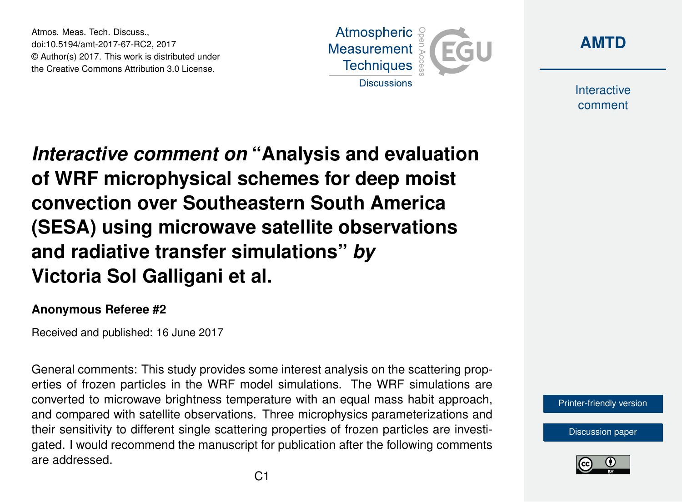Atmos. Meas. Tech. Discuss., doi:10.5194/amt-2017-67-RC2, 2017 © Author(s) 2017. This work is distributed under the Creative Commons Attribution 3.0 License.





Interactive comment

*Interactive comment on* **"Analysis and evaluation of WRF microphysical schemes for deep moist convection over Southeastern South America (SESA) using microwave satellite observations and radiative transfer simulations"** *by* **Victoria Sol Galligani et al.**

## **Anonymous Referee #2**

Received and published: 16 June 2017

General comments: This study provides some interest analysis on the scattering properties of frozen particles in the WRF model simulations. The WRF simulations are converted to microwave brightness temperature with an equal mass habit approach, and compared with satellite observations. Three microphysics parameterizations and their sensitivity to different single scattering properties of frozen particles are investigated. I would recommend the manuscript for publication after the following comments are addressed.



[Discussion paper](http://www.atmos-meas-tech-discuss.net/amt-2017-67)

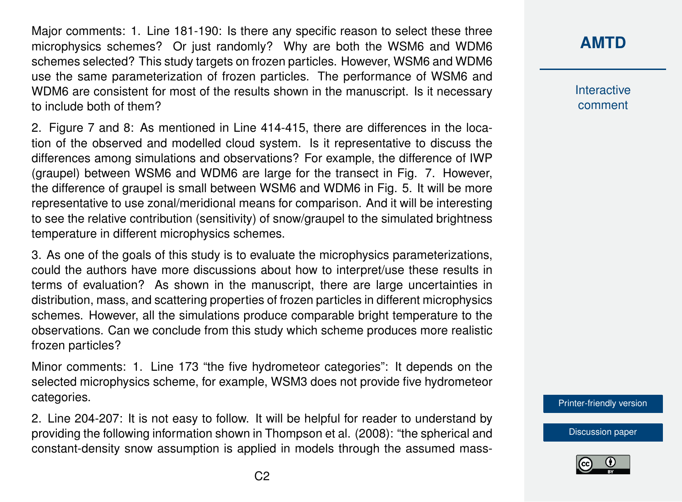Major comments: 1. Line 181-190: Is there any specific reason to select these three microphysics schemes? Or just randomly? Why are both the WSM6 and WDM6 schemes selected? This study targets on frozen particles. However, WSM6 and WDM6 use the same parameterization of frozen particles. The performance of WSM6 and WDM6 are consistent for most of the results shown in the manuscript. Is it necessary to include both of them?

2. Figure 7 and 8: As mentioned in Line 414-415, there are differences in the location of the observed and modelled cloud system. Is it representative to discuss the differences among simulations and observations? For example, the difference of IWP (graupel) between WSM6 and WDM6 are large for the transect in Fig. 7. However, the difference of graupel is small between WSM6 and WDM6 in Fig. 5. It will be more representative to use zonal/meridional means for comparison. And it will be interesting to see the relative contribution (sensitivity) of snow/graupel to the simulated brightness temperature in different microphysics schemes.

3. As one of the goals of this study is to evaluate the microphysics parameterizations, could the authors have more discussions about how to interpret/use these results in terms of evaluation? As shown in the manuscript, there are large uncertainties in distribution, mass, and scattering properties of frozen particles in different microphysics schemes. However, all the simulations produce comparable bright temperature to the observations. Can we conclude from this study which scheme produces more realistic frozen particles?

Minor comments: 1. Line 173 "the five hydrometeor categories": It depends on the selected microphysics scheme, for example, WSM3 does not provide five hydrometeor categories.

2. Line 204-207: It is not easy to follow. It will be helpful for reader to understand by providing the following information shown in Thompson et al. (2008): "the spherical and constant-density snow assumption is applied in models through the assumed mass-

## **[AMTD](http://www.atmos-meas-tech-discuss.net/)**

Interactive comment

[Printer-friendly version](http://www.atmos-meas-tech-discuss.net/amt-2017-67/amt-2017-67-RC2-print.pdf)

[Discussion paper](http://www.atmos-meas-tech-discuss.net/amt-2017-67)